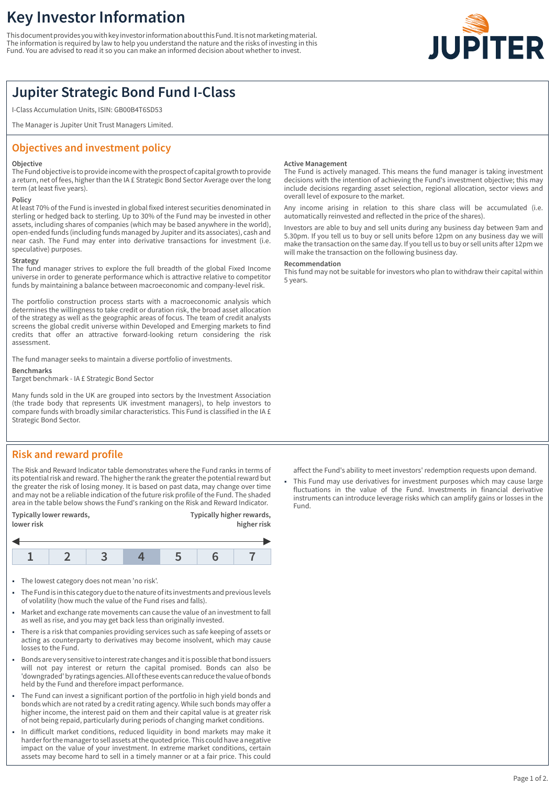# **Key Investor Information**

This document provides you with key investor information about this Fund. It is not marketing material. The information is required by law to help you understand the nature and the risks of investing in this Fund. You are advised to read it so you can make an informed decision about whether to invest.



# **Jupiter Strategic Bond Fund I-Class**

I-Class Accumulation Units, ISIN: GB00B4T6SD53

The Manager is Jupiter Unit Trust Managers Limited.

## **Objectives and investment policy**

### **Objective**

The Fund objective is to provide income with the prospect of capital growth to provide a return, net of fees, higher than the IA £ Strategic Bond Sector Average over the long term (at least five years).

### **Policy**

At least 70% of the Fund is invested in global fixed interest securities denominated in sterling or hedged back to sterling. Up to 30% of the Fund may be invested in other assets, including shares of companies (which may be based anywhere in the world), open-ended funds (including funds managed by Jupiter and its associates), cash and near cash. The Fund may enter into derivative transactions for investment (i.e. speculative) purposes.

### **Strategy**

The fund manager strives to explore the full breadth of the global Fixed Income universe in order to generate performance which is attractive relative to competitor funds by maintaining a balance between macroeconomic and company-level risk.

The portfolio construction process starts with a macroeconomic analysis which determines the willingness to take credit or duration risk, the broad asset allocation of the strategy as well as the geographic areas of focus. The team of credit analysts screens the global credit universe within Developed and Emerging markets to find credits that offer an attractive forward-looking return considering the risk assessment.

The fund manager seeks to maintain a diverse portfolio of investments.

### **Benchmarks**

Target benchmark - IA £ Strategic Bond Sector

Many funds sold in the UK are grouped into sectors by the Investment Association (the trade body that represents UK investment managers), to help investors to compare funds with broadly similar characteristics. This Fund is classified in the IA £ Strategic Bond Sector.

# **Risk and reward profile**

The Risk and Reward Indicator table demonstrates where the Fund ranks in terms of its potential risk and reward. The higher the rank the greater the potential reward but the greater the risk of losing money. It is based on past data, may change over time and may not be a reliable indication of the future risk profile of the Fund. The shaded area in the table below shows the Fund's ranking on the Risk and Reward Indicator.

| Typically lower rewards,<br>lower risk |  |  |  | Typically higher rewards,<br>higher risk |  |  |
|----------------------------------------|--|--|--|------------------------------------------|--|--|
|                                        |  |  |  |                                          |  |  |
|                                        |  |  |  |                                          |  |  |

- The lowest category does not mean 'no risk'.
- 1 The Fund is in this category due to the nature of its investments and previous levels of volatility (how much the value of the Fund rises and falls).
- Market and exchange rate movements can cause the value of an investment to fall as well as rise, and you may get back less than originally invested.
- 1 There is a risk that companies providing services such as safe keeping of assets or acting as counterparty to derivatives may become insolvent, which may cause losses to the Fund.
- 1 Bonds are very sensitive to interest rate changes and it is possible that bond issuers will not pay interest or return the capital promised. Bonds can also be 'downgraded' by ratings agencies. All of these events can reduce the value of bonds held by the Fund and therefore impact performance.
- The Fund can invest a significant portion of the portfolio in high yield bonds and bonds which are not rated by a credit rating agency. While such bonds may offer a higher income, the interest paid on them and their capital value is at greater risk of not being repaid, particularly during periods of changing market conditions.
- In difficult market conditions, reduced liquidity in bond markets may make it harder for the manager to sell assets at the quoted price. This could have a negative impact on the value of your investment. In extreme market conditions, certain assets may become hard to sell in a timely manner or at a fair price. This could

### **Active Management**

The Fund is actively managed. This means the fund manager is taking investment decisions with the intention of achieving the Fund's investment objective; this may include decisions regarding asset selection, regional allocation, sector views and overall level of exposure to the market.

Any income arising in relation to this share class will be accumulated (i.e. automatically reinvested and reflected in the price of the shares).

Investors are able to buy and sell units during any business day between 9am and 5.30pm. If you tell us to buy or sell units before 12pm on any business day we will make the transaction on the same day. If you tell us to buy or sell units after 12pm we will make the transaction on the following business day.

#### **Recommendation**

This fund may not be suitable for investors who plan to withdraw their capital within 5 years.

affect the Fund's ability to meet investors' redemption requests upon demand.

This Fund may use derivatives for investment purposes which may cause large fluctuations in the value of the Fund. Investments in financial derivative instruments can introduce leverage risks which can amplify gains or losses in the Fund.